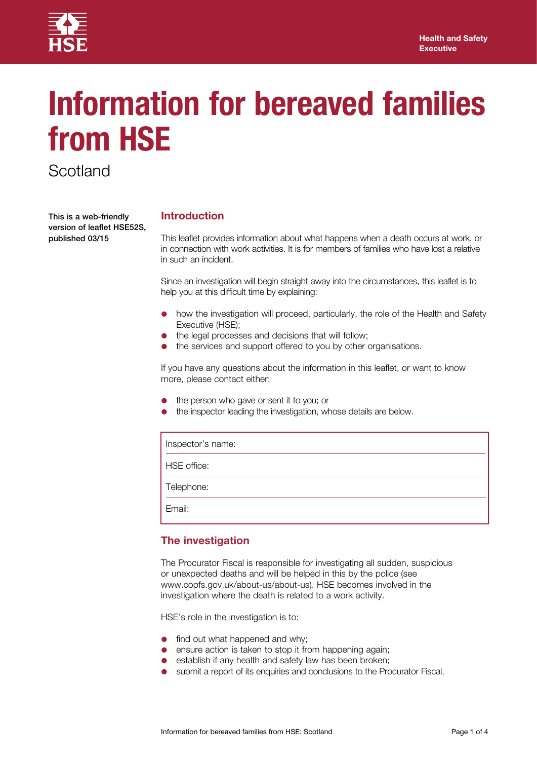

# **Information for bereaved families from HSE**

**Scotland** 

This is a web-friendly version of leaflet HSE52S, published 03/15

# **Introduction**

This leaflet provides information about what happens when a death occurs at work, or in connection with work activities. It is for members of families who have lost a relative in such an incident.

Since an investigation will begin straight away into the circumstances, this leaflet is to help you at this difficult time by explaining:

- how the investigation will proceed, particularly, the role of the Health and Safety Executive (HSE);
- the legal processes and decisions that will follow;
- the services and support offered to you by other organisations.

If you have any questions about the information in this leaflet, or want to know more, please contact either:

- the person who gave or sent it to you; or
- the inspector leading the investigation, whose details are below.

| Inspector's name: |
|-------------------|
| HSE office:       |
| Telephone:        |
| Email:            |

# **The investigation**

The Procurator Fiscal is responsible for investigating all sudden, suspicious or unexpected deaths and will be helped in this by the police (see www.copfs.gov.uk/about-us/about-us). HSE becomes involved in the investigation where the death is related to a work activity.

HSE's role in the investigation is to:

- find out what happened and why;
- ensure action is taken to stop it from happening again;
- establish if any health and safety law has been broken;
- submit a report of its enquiries and conclusions to the Procurator Fiscal.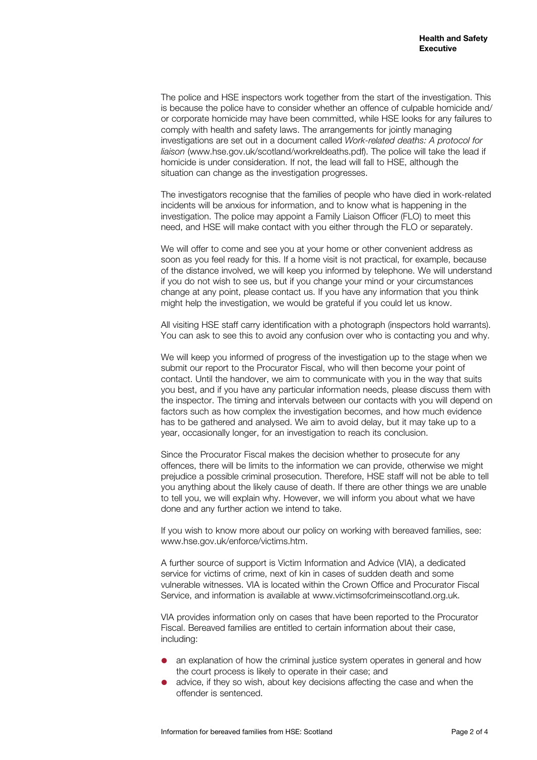The police and HSE inspectors work together from the start of the investigation. This is because the police have to consider whether an offence of culpable homicide and/ or corporate homicide may have been committed, while HSE looks for any failures to comply with health and safety laws. The arrangements for jointly managing investigations are set out in a document called *Work-related deaths: A protocol for liaison* (<www.hse.gov.uk/scotland/workreldeaths.pdf>). The police will take the lead if homicide is under consideration. If not, the lead will fall to HSE, although the situation can change as the investigation progresses.

The investigators recognise that the families of people who have died in work-related incidents will be anxious for information, and to know what is happening in the investigation. The police may appoint a Family Liaison Officer (FLO) to meet this need, and HSE will make contact with you either through the FLO or separately.

We will offer to come and see you at your home or other convenient address as soon as you feel ready for this. If a home visit is not practical, for example, because of the distance involved, we will keep you informed by telephone. We will understand if you do not wish to see us, but if you change your mind or your circumstances change at any point, please contact us. If you have any information that you think might help the investigation, we would be grateful if you could let us know.

All visiting HSE staff carry identification with a photograph (inspectors hold warrants). You can ask to see this to avoid any confusion over who is contacting you and why.

We will keep you informed of progress of the investigation up to the stage when we submit our report to the Procurator Fiscal, who will then become your point of contact. Until the handover, we aim to communicate with you in the way that suits you best, and if you have any particular information needs, please discuss them with the inspector. The timing and intervals between our contacts with you will depend on factors such as how complex the investigation becomes, and how much evidence has to be gathered and analysed. We aim to avoid delay, but it may take up to a year, occasionally longer, for an investigation to reach its conclusion.

Since the Procurator Fiscal makes the decision whether to prosecute for any offences, there will be limits to the information we can provide, otherwise we might prejudice a possible criminal prosecution. Therefore, HSE staff will not be able to tell you anything about the likely cause of death. If there are other things we are unable to tell you, we will explain why. However, we will inform you about what we have done and any further action we intend to take.

If you wish to know more about our policy on working with bereaved families, see: [www.hse.gov.uk/enforce/victims.htm.](www.hse.gov.uk/enforce/victims.htm)

A further source of support is Victim Information and Advice (VIA), a dedicated service for victims of crime, next of kin in cases of sudden death and some vulnerable witnesses. VIA is located within the Crown Office and Procurator Fiscal Service, and information is available at <www.victimsofcrimeinscotland.org.uk>.

VIA provides information only on cases that have been reported to the Procurator Fiscal. Bereaved families are entitled to certain information about their case, including:

- an explanation of how the criminal justice system operates in general and how the court process is likely to operate in their case; and
- advice, if they so wish, about key decisions affecting the case and when the offender is sentenced.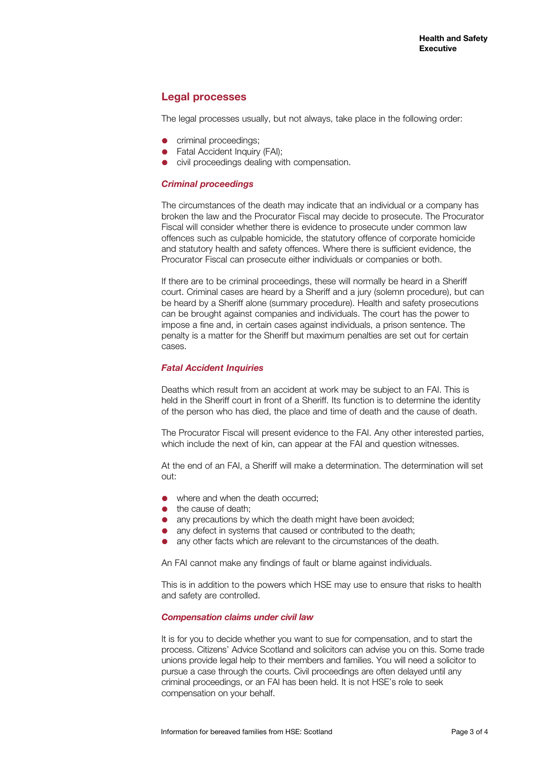# **Legal processes**

The legal processes usually, but not always, take place in the following order:

- criminal proceedings;
- Fatal Accident Inquiry (FAI):
- civil proceedings dealing with compensation.

## *Criminal proceedings*

The circumstances of the death may indicate that an individual or a company has broken the law and the Procurator Fiscal may decide to prosecute. The Procurator Fiscal will consider whether there is evidence to prosecute under common law offences such as culpable homicide, the statutory offence of corporate homicide and statutory health and safety offences. Where there is sufficient evidence, the Procurator Fiscal can prosecute either individuals or companies or both.

If there are to be criminal proceedings, these will normally be heard in a Sheriff court. Criminal cases are heard by a Sheriff and a jury (solemn procedure), but can be heard by a Sheriff alone (summary procedure). Health and safety prosecutions can be brought against companies and individuals. The court has the power to impose a fine and, in certain cases against individuals, a prison sentence. The penalty is a matter for the Sheriff but maximum penalties are set out for certain cases.

## *Fatal Accident Inquiries*

Deaths which result from an accident at work may be subject to an FAI. This is held in the Sheriff court in front of a Sheriff. Its function is to determine the identity of the person who has died, the place and time of death and the cause of death.

The Procurator Fiscal will present evidence to the FAI. Any other interested parties, which include the next of kin, can appear at the FAI and question witnesses.

At the end of an FAI, a Sheriff will make a determination. The determination will set out:

- where and when the death occurred;
- the cause of death;
- any precautions by which the death might have been avoided;
- any defect in systems that caused or contributed to the death;
- any other facts which are relevant to the circumstances of the death.

An FAI cannot make any findings of fault or blame against individuals.

This is in addition to the powers which HSE may use to ensure that risks to health and safety are controlled.

#### *Compensation claims under civil law*

It is for you to decide whether you want to sue for compensation, and to start the process. Citizens' Advice Scotland and solicitors can advise you on this. Some trade unions provide legal help to their members and families. You will need a solicitor to pursue a case through the courts. Civil proceedings are often delayed until any criminal proceedings, or an FAI has been held. It is not HSE's role to seek compensation on your behalf.